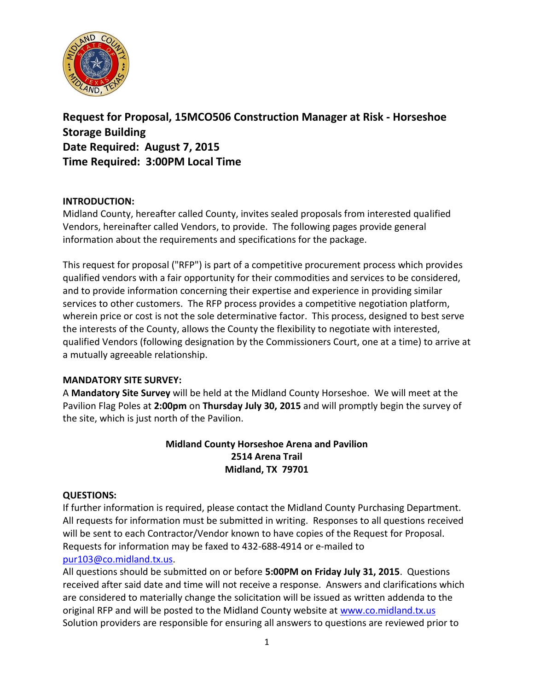

**Request for Proposal, 15MCO506 Construction Manager at Risk - Horseshoe Storage Building Date Required: August 7, 2015 Time Required: 3:00PM Local Time**

## **INTRODUCTION:**

Midland County, hereafter called County, invites sealed proposals from interested qualified Vendors, hereinafter called Vendors, to provide. The following pages provide general information about the requirements and specifications for the package.

This request for proposal ("RFP") is part of a competitive procurement process which provides qualified vendors with a fair opportunity for their commodities and services to be considered, and to provide information concerning their expertise and experience in providing similar services to other customers. The RFP process provides a competitive negotiation platform, wherein price or cost is not the sole determinative factor. This process, designed to best serve the interests of the County, allows the County the flexibility to negotiate with interested, qualified Vendors (following designation by the Commissioners Court, one at a time) to arrive at a mutually agreeable relationship.

### **MANDATORY SITE SURVEY:**

A **Mandatory Site Survey** will be held at the Midland County Horseshoe. We will meet at the Pavilion Flag Poles at **2:00pm** on **Thursday July 30, 2015** and will promptly begin the survey of the site, which is just north of the Pavilion.

## **Midland County Horseshoe Arena and Pavilion 2514 Arena Trail Midland, TX 79701**

### **QUESTIONS:**

If further information is required, please contact the Midland County Purchasing Department. All requests for information must be submitted in writing. Responses to all questions received will be sent to each Contractor/Vendor known to have copies of the Request for Proposal. Requests for information may be faxed to 432-688-4914 or e-mailed to [pur103@co.midland.tx.us.](mailto:pur103@co.midland.tx.us)

All questions should be submitted on or before **5:00PM on Friday July 31, 2015**. Questions received after said date and time will not receive a response. Answers and clarifications which are considered to materially change the solicitation will be issued as written addenda to the original RFP and will be posted to the Midland County website at [www.co.midland.tx.us](http://www.co.midland.tx.us/)  Solution providers are responsible for ensuring all answers to questions are reviewed prior to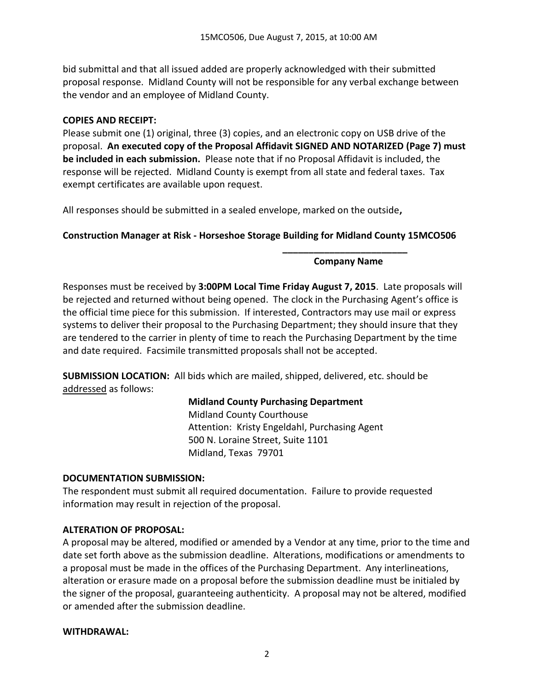bid submittal and that all issued added are properly acknowledged with their submitted proposal response. Midland County will not be responsible for any verbal exchange between the vendor and an employee of Midland County.

### **COPIES AND RECEIPT:**

Please submit one (1) original, three (3) copies, and an electronic copy on USB drive of the proposal. **An executed copy of the Proposal Affidavit SIGNED AND NOTARIZED (Page 7) must be included in each submission.** Please note that if no Proposal Affidavit is included, the response will be rejected. Midland County is exempt from all state and federal taxes. Tax exempt certificates are available upon request.

All responses should be submitted in a sealed envelope, marked on the outside**,** 

## **Construction Manager at Risk - Horseshoe Storage Building for Midland County 15MCO506**

### **\_\_\_\_\_\_\_\_\_\_\_\_\_\_\_\_\_\_\_\_\_\_\_\_ Company Name**

Responses must be received by **3:00PM Local Time Friday August 7, 2015**. Late proposals will be rejected and returned without being opened. The clock in the Purchasing Agent's office is the official time piece for this submission. If interested, Contractors may use mail or express systems to deliver their proposal to the Purchasing Department; they should insure that they are tendered to the carrier in plenty of time to reach the Purchasing Department by the time and date required. Facsimile transmitted proposals shall not be accepted.

**SUBMISSION LOCATION:** All bids which are mailed, shipped, delivered, etc. should be addressed as follows:

## **Midland County Purchasing Department**

Midland County Courthouse Attention: Kristy Engeldahl, Purchasing Agent 500 N. Loraine Street, Suite 1101 Midland, Texas 79701

### **DOCUMENTATION SUBMISSION:**

The respondent must submit all required documentation. Failure to provide requested information may result in rejection of the proposal.

## **ALTERATION OF PROPOSAL:**

A proposal may be altered, modified or amended by a Vendor at any time, prior to the time and date set forth above as the submission deadline. Alterations, modifications or amendments to a proposal must be made in the offices of the Purchasing Department. Any interlineations, alteration or erasure made on a proposal before the submission deadline must be initialed by the signer of the proposal, guaranteeing authenticity. A proposal may not be altered, modified or amended after the submission deadline.

### **WITHDRAWAL:**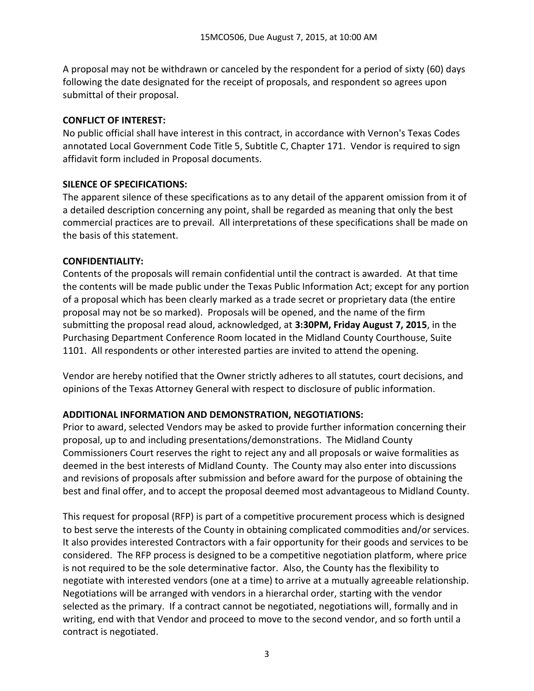A proposal may not be withdrawn or canceled by the respondent for a period of sixty (60) days following the date designated for the receipt of proposals, and respondent so agrees upon submittal of their proposal.

## **CONFLICT OF INTEREST:**

No public official shall have interest in this contract, in accordance with Vernon's Texas Codes annotated Local Government Code Title 5, Subtitle C, Chapter 171. Vendor is required to sign affidavit form included in Proposal documents.

## **SILENCE OF SPECIFICATIONS:**

The apparent silence of these specifications as to any detail of the apparent omission from it of a detailed description concerning any point, shall be regarded as meaning that only the best commercial practices are to prevail. All interpretations of these specifications shall be made on the basis of this statement.

## **CONFIDENTIALITY:**

Contents of the proposals will remain confidential until the contract is awarded. At that time the contents will be made public under the Texas Public Information Act; except for any portion of a proposal which has been clearly marked as a trade secret or proprietary data (the entire proposal may not be so marked). Proposals will be opened, and the name of the firm submitting the proposal read aloud, acknowledged, at **3:30PM, Friday August 7, 2015**, in the Purchasing Department Conference Room located in the Midland County Courthouse, Suite 1101. All respondents or other interested parties are invited to attend the opening.

Vendor are hereby notified that the Owner strictly adheres to all statutes, court decisions, and opinions of the Texas Attorney General with respect to disclosure of public information.

## **ADDITIONAL INFORMATION AND DEMONSTRATION, NEGOTIATIONS:**

Prior to award, selected Vendors may be asked to provide further information concerning their proposal, up to and including presentations/demonstrations. The Midland County Commissioners Court reserves the right to reject any and all proposals or waive formalities as deemed in the best interests of Midland County. The County may also enter into discussions and revisions of proposals after submission and before award for the purpose of obtaining the best and final offer, and to accept the proposal deemed most advantageous to Midland County.

This request for proposal (RFP) is part of a competitive procurement process which is designed to best serve the interests of the County in obtaining complicated commodities and/or services. It also provides interested Contractors with a fair opportunity for their goods and services to be considered. The RFP process is designed to be a competitive negotiation platform, where price is not required to be the sole determinative factor. Also, the County has the flexibility to negotiate with interested vendors (one at a time) to arrive at a mutually agreeable relationship. Negotiations will be arranged with vendors in a hierarchal order, starting with the vendor selected as the primary. If a contract cannot be negotiated, negotiations will, formally and in writing, end with that Vendor and proceed to move to the second vendor, and so forth until a contract is negotiated.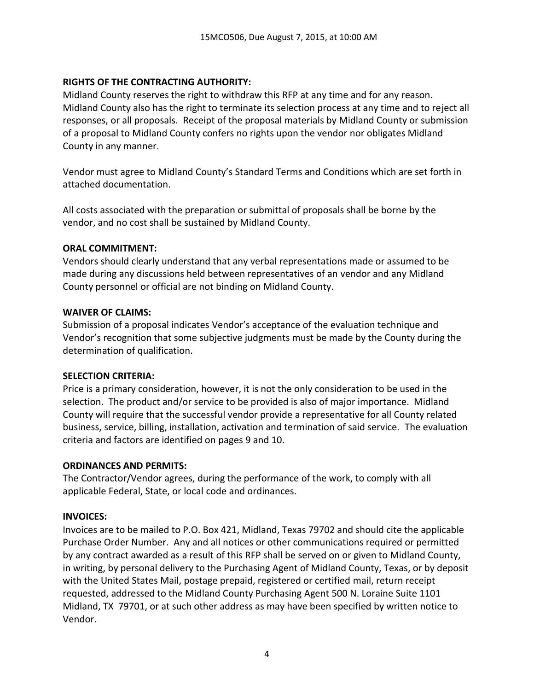### **RIGHTS OF THE CONTRACTING AUTHORITY:**

Midland County reserves the right to withdraw this RFP at any time and for any reason. Midland County also has the right to terminate its selection process at any time and to reject all responses, or all proposals. Receipt of the proposal materials by Midland County or submission of a proposal to Midland County confers no rights upon the vendor nor obligates Midland County in any manner.

Vendor must agree to Midland County's Standard Terms and Conditions which are set forth in attached documentation.

All costs associated with the preparation or submittal of proposals shall be borne by the vendor, and no cost shall be sustained by Midland County.

### **ORAL COMMITMENT:**

Vendors should clearly understand that any verbal representations made or assumed to be made during any discussions held between representatives of an vendor and any Midland County personnel or official are not binding on Midland County.

### **WAIVER OF CLAIMS:**

Submission of a proposal indicates Vendor's acceptance of the evaluation technique and Vendor's recognition that some subjective judgments must be made by the County during the determination of qualification.

### **SELECTION CRITERIA:**

Price is a primary consideration, however, it is not the only consideration to be used in the selection. The product and/or service to be provided is also of major importance. Midland County will require that the successful vendor provide a representative for all County related business, service, billing, installation, activation and termination of said service. The evaluation criteria and factors are identified on pages 9 and 10.

### **ORDINANCES AND PERMITS:**

The Contractor/Vendor agrees, during the performance of the work, to comply with all applicable Federal, State, or local code and ordinances.

### **INVOICES:**

Invoices are to be mailed to P.O. Box 421, Midland, Texas 79702 and should cite the applicable Purchase Order Number. Any and all notices or other communications required or permitted by any contract awarded as a result of this RFP shall be served on or given to Midland County, in writing, by personal delivery to the Purchasing Agent of Midland County, Texas, or by deposit with the United States Mail, postage prepaid, registered or certified mail, return receipt requested, addressed to the Midland County Purchasing Agent 500 N. Loraine Suite 1101 Midland, TX 79701, or at such other address as may have been specified by written notice to Vendor.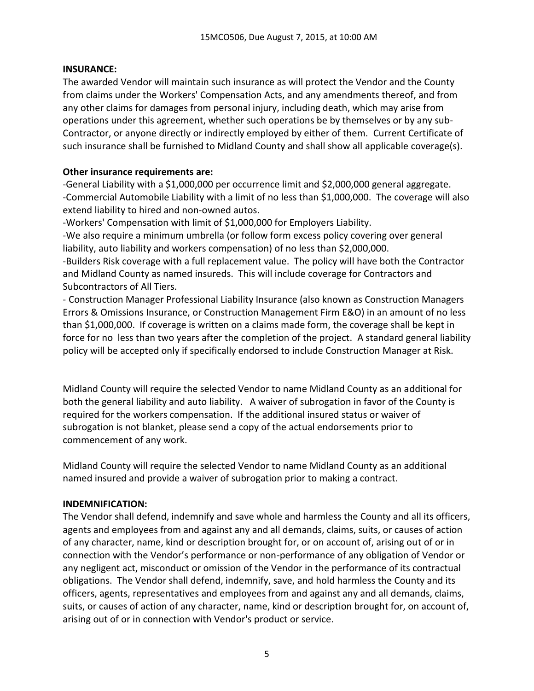## **INSURANCE:**

The awarded Vendor will maintain such insurance as will protect the Vendor and the County from claims under the Workers' Compensation Acts, and any amendments thereof, and from any other claims for damages from personal injury, including death, which may arise from operations under this agreement, whether such operations be by themselves or by any sub-Contractor, or anyone directly or indirectly employed by either of them. Current Certificate of such insurance shall be furnished to Midland County and shall show all applicable coverage(s).

## **Other insurance requirements are:**

-General Liability with a \$1,000,000 per occurrence limit and \$2,000,000 general aggregate. -Commercial Automobile Liability with a limit of no less than \$1,000,000. The coverage will also extend liability to hired and non-owned autos.

-Workers' Compensation with limit of \$1,000,000 for Employers Liability.

-We also require a minimum umbrella (or follow form excess policy covering over general liability, auto liability and workers compensation) of no less than \$2,000,000.

-Builders Risk coverage with a full replacement value. The policy will have both the Contractor and Midland County as named insureds. This will include coverage for Contractors and Subcontractors of All Tiers.

- Construction Manager Professional Liability Insurance (also known as Construction Managers Errors & Omissions Insurance, or Construction Management Firm E&O) in an amount of no less than \$1,000,000. If coverage is written on a claims made form, the coverage shall be kept in force for no less than two years after the completion of the project. A standard general liability policy will be accepted only if specifically endorsed to include Construction Manager at Risk.

Midland County will require the selected Vendor to name Midland County as an additional for both the general liability and auto liability. A waiver of subrogation in favor of the County is required for the workers compensation. If the additional insured status or waiver of subrogation is not blanket, please send a copy of the actual endorsements prior to commencement of any work.

Midland County will require the selected Vendor to name Midland County as an additional named insured and provide a waiver of subrogation prior to making a contract.

# **INDEMNIFICATION:**

The Vendor shall defend, indemnify and save whole and harmless the County and all its officers, agents and employees from and against any and all demands, claims, suits, or causes of action of any character, name, kind or description brought for, or on account of, arising out of or in connection with the Vendor's performance or non-performance of any obligation of Vendor or any negligent act, misconduct or omission of the Vendor in the performance of its contractual obligations. The Vendor shall defend, indemnify, save, and hold harmless the County and its officers, agents, representatives and employees from and against any and all demands, claims, suits, or causes of action of any character, name, kind or description brought for, on account of, arising out of or in connection with Vendor's product or service.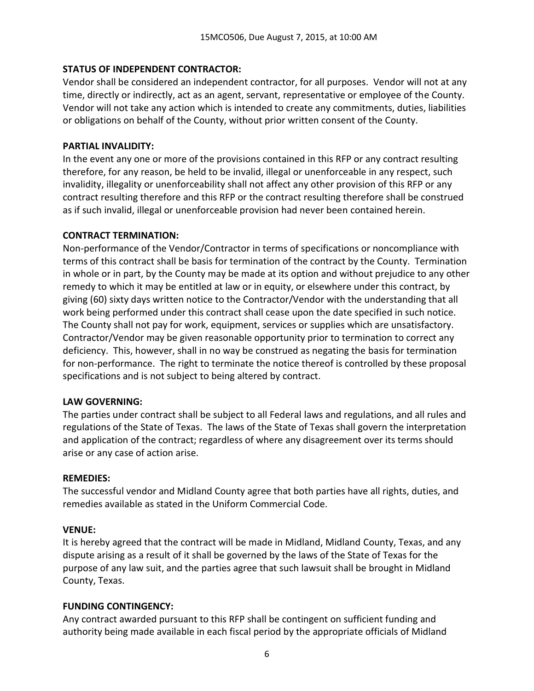## **STATUS OF INDEPENDENT CONTRACTOR:**

Vendor shall be considered an independent contractor, for all purposes. Vendor will not at any time, directly or indirectly, act as an agent, servant, representative or employee of the County. Vendor will not take any action which is intended to create any commitments, duties, liabilities or obligations on behalf of the County, without prior written consent of the County.

### **PARTIAL INVALIDITY:**

In the event any one or more of the provisions contained in this RFP or any contract resulting therefore, for any reason, be held to be invalid, illegal or unenforceable in any respect, such invalidity, illegality or unenforceability shall not affect any other provision of this RFP or any contract resulting therefore and this RFP or the contract resulting therefore shall be construed as if such invalid, illegal or unenforceable provision had never been contained herein.

### **CONTRACT TERMINATION:**

Non-performance of the Vendor/Contractor in terms of specifications or noncompliance with terms of this contract shall be basis for termination of the contract by the County. Termination in whole or in part, by the County may be made at its option and without prejudice to any other remedy to which it may be entitled at law or in equity, or elsewhere under this contract, by giving (60) sixty days written notice to the Contractor/Vendor with the understanding that all work being performed under this contract shall cease upon the date specified in such notice. The County shall not pay for work, equipment, services or supplies which are unsatisfactory. Contractor/Vendor may be given reasonable opportunity prior to termination to correct any deficiency. This, however, shall in no way be construed as negating the basis for termination for non-performance. The right to terminate the notice thereof is controlled by these proposal specifications and is not subject to being altered by contract.

### **LAW GOVERNING:**

The parties under contract shall be subject to all Federal laws and regulations, and all rules and regulations of the State of Texas. The laws of the State of Texas shall govern the interpretation and application of the contract; regardless of where any disagreement over its terms should arise or any case of action arise.

### **REMEDIES:**

The successful vendor and Midland County agree that both parties have all rights, duties, and remedies available as stated in the Uniform Commercial Code.

### **VENUE:**

It is hereby agreed that the contract will be made in Midland, Midland County, Texas, and any dispute arising as a result of it shall be governed by the laws of the State of Texas for the purpose of any law suit, and the parties agree that such lawsuit shall be brought in Midland County, Texas.

### **FUNDING CONTINGENCY:**

Any contract awarded pursuant to this RFP shall be contingent on sufficient funding and authority being made available in each fiscal period by the appropriate officials of Midland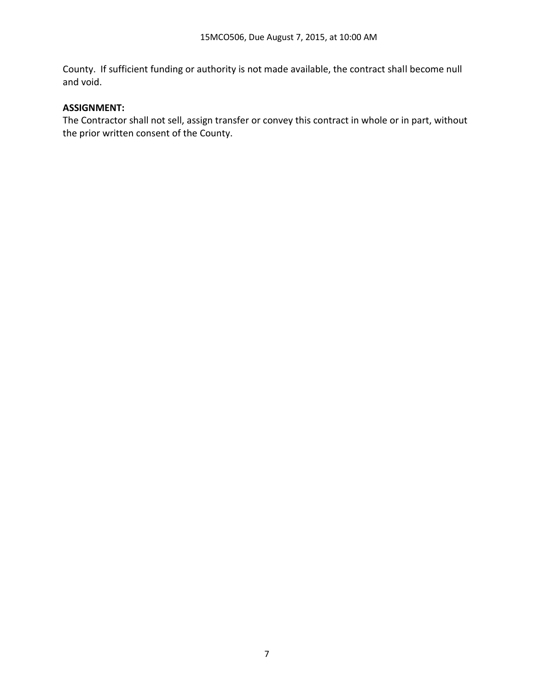County. If sufficient funding or authority is not made available, the contract shall become null and void.

## **ASSIGNMENT:**

The Contractor shall not sell, assign transfer or convey this contract in whole or in part, without the prior written consent of the County.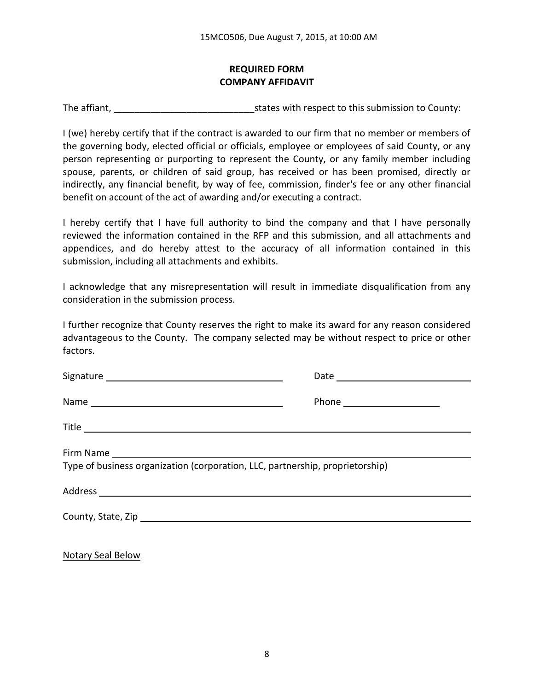## **REQUIRED FORM COMPANY AFFIDAVIT**

The affiant, The affiant,  $\frac{1}{2}$  is tates with respect to this submission to County:

I (we) hereby certify that if the contract is awarded to our firm that no member or members of the governing body, elected official or officials, employee or employees of said County, or any person representing or purporting to represent the County, or any family member including spouse, parents, or children of said group, has received or has been promised, directly or indirectly, any financial benefit, by way of fee, commission, finder's fee or any other financial benefit on account of the act of awarding and/or executing a contract.

I hereby certify that I have full authority to bind the company and that I have personally reviewed the information contained in the RFP and this submission, and all attachments and appendices, and do hereby attest to the accuracy of all information contained in this submission, including all attachments and exhibits.

I acknowledge that any misrepresentation will result in immediate disqualification from any consideration in the submission process.

I further recognize that County reserves the right to make its award for any reason considered advantageous to the County. The company selected may be without respect to price or other factors.

| Type of business organization (corporation, LLC, partnership, proprietorship) |
|-------------------------------------------------------------------------------|
|                                                                               |
|                                                                               |
|                                                                               |

Notary Seal Below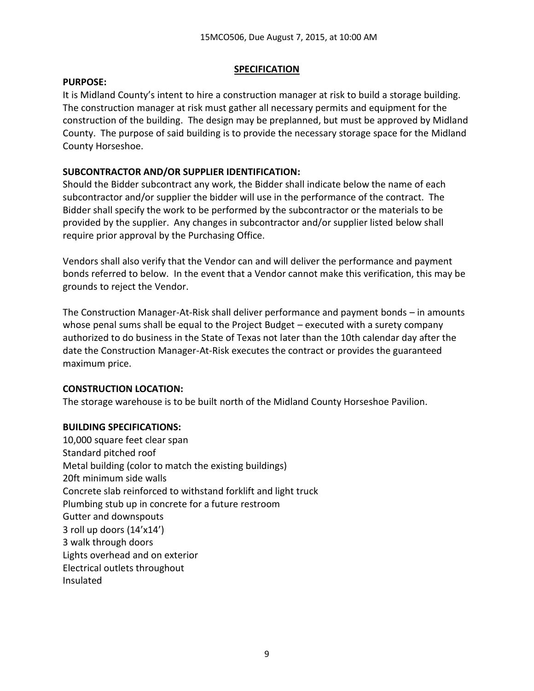## **SPECIFICATION**

### **PURPOSE:**

It is Midland County's intent to hire a construction manager at risk to build a storage building. The construction manager at risk must gather all necessary permits and equipment for the construction of the building. The design may be preplanned, but must be approved by Midland County. The purpose of said building is to provide the necessary storage space for the Midland County Horseshoe.

## **SUBCONTRACTOR AND/OR SUPPLIER IDENTIFICATION:**

Should the Bidder subcontract any work, the Bidder shall indicate below the name of each subcontractor and/or supplier the bidder will use in the performance of the contract. The Bidder shall specify the work to be performed by the subcontractor or the materials to be provided by the supplier. Any changes in subcontractor and/or supplier listed below shall require prior approval by the Purchasing Office.

Vendors shall also verify that the Vendor can and will deliver the performance and payment bonds referred to below. In the event that a Vendor cannot make this verification, this may be grounds to reject the Vendor.

The Construction Manager-At-Risk shall deliver performance and payment bonds – in amounts whose penal sums shall be equal to the Project Budget – executed with a surety company authorized to do business in the State of Texas not later than the 10th calendar day after the date the Construction Manager-At-Risk executes the contract or provides the guaranteed maximum price.

## **CONSTRUCTION LOCATION:**

The storage warehouse is to be built north of the Midland County Horseshoe Pavilion.

## **BUILDING SPECIFICATIONS:**

10,000 square feet clear span Standard pitched roof Metal building (color to match the existing buildings) 20ft minimum side walls Concrete slab reinforced to withstand forklift and light truck Plumbing stub up in concrete for a future restroom Gutter and downspouts 3 roll up doors (14'x14') 3 walk through doors Lights overhead and on exterior Electrical outlets throughout Insulated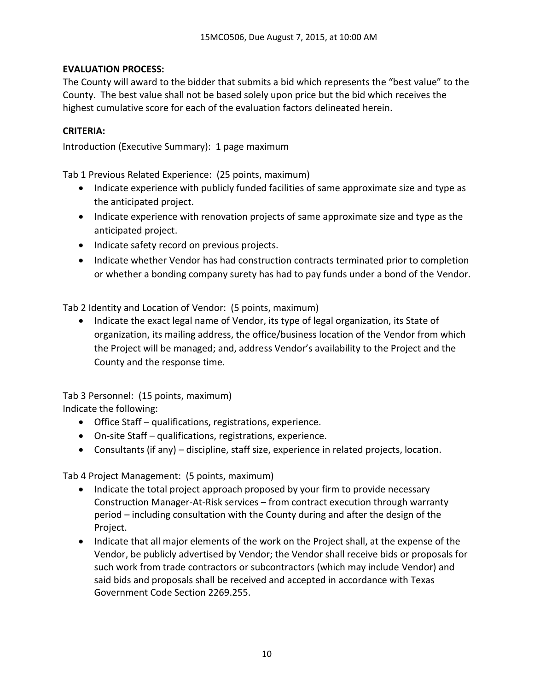## **EVALUATION PROCESS:**

The County will award to the bidder that submits a bid which represents the "best value" to the County. The best value shall not be based solely upon price but the bid which receives the highest cumulative score for each of the evaluation factors delineated herein.

## **CRITERIA:**

Introduction (Executive Summary): 1 page maximum

Tab 1 Previous Related Experience: (25 points, maximum)

- Indicate experience with publicly funded facilities of same approximate size and type as the anticipated project.
- Indicate experience with renovation projects of same approximate size and type as the anticipated project.
- Indicate safety record on previous projects.
- Indicate whether Vendor has had construction contracts terminated prior to completion or whether a bonding company surety has had to pay funds under a bond of the Vendor.

Tab 2 Identity and Location of Vendor: (5 points, maximum)

• Indicate the exact legal name of Vendor, its type of legal organization, its State of organization, its mailing address, the office/business location of the Vendor from which the Project will be managed; and, address Vendor's availability to the Project and the County and the response time.

Tab 3 Personnel: (15 points, maximum) Indicate the following:

- Office Staff qualifications, registrations, experience.
- On-site Staff qualifications, registrations, experience.
- Consultants (if any) discipline, staff size, experience in related projects, location.

Tab 4 Project Management: (5 points, maximum)

- Indicate the total project approach proposed by your firm to provide necessary Construction Manager-At-Risk services – from contract execution through warranty period – including consultation with the County during and after the design of the Project.
- Indicate that all major elements of the work on the Project shall, at the expense of the Vendor, be publicly advertised by Vendor; the Vendor shall receive bids or proposals for such work from trade contractors or subcontractors (which may include Vendor) and said bids and proposals shall be received and accepted in accordance with Texas Government Code Section 2269.255.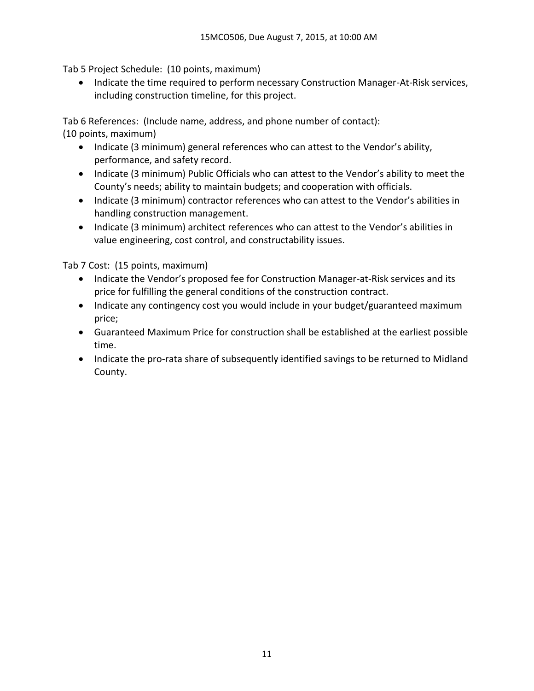Tab 5 Project Schedule: (10 points, maximum)

• Indicate the time required to perform necessary Construction Manager-At-Risk services, including construction timeline, for this project.

Tab 6 References: (Include name, address, and phone number of contact):

(10 points, maximum)

- Indicate (3 minimum) general references who can attest to the Vendor's ability, performance, and safety record.
- Indicate (3 minimum) Public Officials who can attest to the Vendor's ability to meet the County's needs; ability to maintain budgets; and cooperation with officials.
- Indicate (3 minimum) contractor references who can attest to the Vendor's abilities in handling construction management.
- Indicate (3 minimum) architect references who can attest to the Vendor's abilities in value engineering, cost control, and constructability issues.

Tab 7 Cost: (15 points, maximum)

- Indicate the Vendor's proposed fee for Construction Manager-at-Risk services and its price for fulfilling the general conditions of the construction contract.
- Indicate any contingency cost you would include in your budget/guaranteed maximum price;
- Guaranteed Maximum Price for construction shall be established at the earliest possible time.
- Indicate the pro-rata share of subsequently identified savings to be returned to Midland County.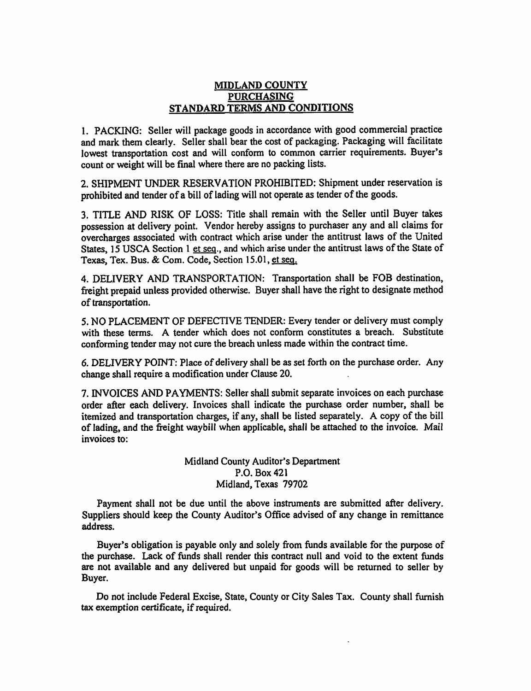#### MIDLAND COUNTY **PURCHASING** STANDARD TERMS AND CONDITIONS

1. PACKING: Seller will package goods in accordance with good commercial practice and mark them clearly. Seller shall bear the cost of packaging. Packaging will facilitate lowest transportation cost and will conform to common carrier requirements. Buyer's count or weight will be final where there are no packing lists.

2. SHIPMENT UNDER RESERVATION PROHIBITED: Shipment under reservation is prohibited and tender of a bill of lading will not operate as tender of the goods.

3. TITLE AND RISK OF LOSS: Title shall remain with the Seller until Buyer takes possession at delivery point. Vendor hereby assigns to purchaser any and all claims for overcharges associated with contract which arise under the antitrust laws of the United States, 15 USCA Section 1 et seq., and which arise under the antitrust laws of the State of Texas, Tex. Bus. & Com. Code, Section 15.01, et seq.

4. DELIVERY AND TRANSPORTATION: Transportation shall be FOB destination, freight prepaid unless provided otherwise. Buyer shall have the right to designate method of transportation.

5. NO PLACEMENT OF DEFECTIVE TENDER: Every tender or delivery must comply with these terms. A tender which does not conform constitutes a breach. Substitute conforming tender may not cure the breach unless made within the contract time.

6. DELIVERY POINT: Place of delivery shall be as set forth on the purchase order. Any change shall require a modification under Clause 20.

7. INVOICES AND PAYMENTS: Seller shall submit separate invoices on each purchase order after each delivery. Invoices shall indicate the purchase order number, shall be itemized and transportation charges, if any, shall be listed separately. A copy of the bill of lading, and the freight waybill when applicable, shall be attached to the invoice. Mail invoices to:

> Midland County Auditor's Department P.O. Box 421 Midland, Texas 79702

Payment shall not be due until the above instruments are submitted after delivery. Suppliers should keep the County Auditor's Office advised of any change in remittance address.

Buyer's obligation is payable only and solely from funds available for the purpose of the purchase. Lack of funds shall render this contract null and void to the extent funds are not available and any delivered but unpaid for goods will be returned to seller by Buyer.

Do not include Federal Excise, State, County or City Sales Tax. County shall furnish tax exemption certificate, if required.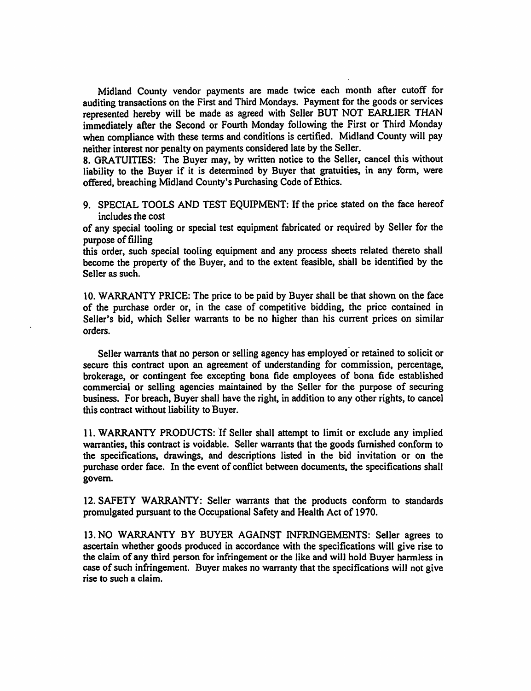Midland County vendor payments are made twice each month after cutoff for auditing transactions on the First and Third Mondays. Payment for the goods or services represented hereby will be made as agreed with Seller BUT NOT EARLIER THAN immediately after the Second or Fourth Monday following the First or Third Monday when compliance with these terms and conditions is certified. Midland County will pay neither interest nor penalty on payments considered late by the Seller.

8. GRATUITIES: The Buyer may, by written notice to the Seller, cancel this without liability to the Buyer if it is determined by Buyer that gratuities, in any form, were offered, breaching Midland County's Purchasing Code of Ethics.

9. SPECIAL TOOLS AND TEST EQUIPMENT: If the price stated on the face hereof includes the cost

of any special tooling or special test equipment fabricated or required by Seller for the purpose of filling

this order, such special tooling equipment and any process sheets related thereto shall become the property of the Buyer, and to the extent feasible, shall be identified by the Seller as such.

10. WARRANTY PRICE: The price to be paid by Buyer shall be that shown on the face of the purchase order or, in the case of competitive bidding, the price contained in Seller's bid, which Seller warrants to be no higher than his current prices on similar orders.

Seller warrants that no person or selling agency has employed or retained to solicit or secure this contract upon an agreement of understanding for commission, percentage, brokerage, or contingent fee excepting bona fide employees of bona fide established commercial or selling agencies maintained by the Seller for the purpose of securing business. For breach, Buyer shall have the right, in addition to any other rights, to cancel this contract without liability to Buyer.

11. WARRANTY PRODUCTS: If Seller shall attempt to limit or exclude any implied warranties, this contract is voidable. Seller warrants that the goods furnished conform to the specifications, drawings, and descriptions listed in the bid invitation or on the purchase order face. In the event of conflict between documents, the specifications shall govern.

12. SAFETY WARRANTY: Seller warrants that the products conform to standards promulgated pursuant to the Occupational Safety and Health Act of 1970.

13. NO WARRANTY BY BUYER AGAINST INFRINGEMENTS: Seller agrees to ascertain whether goods produced in accordance with the specifications will give rise to the claim of any third person for infringement or the like and will hold Buyer harmless in case of such infringement. Buyer makes no warranty that the specifications will not give rise to such a claim.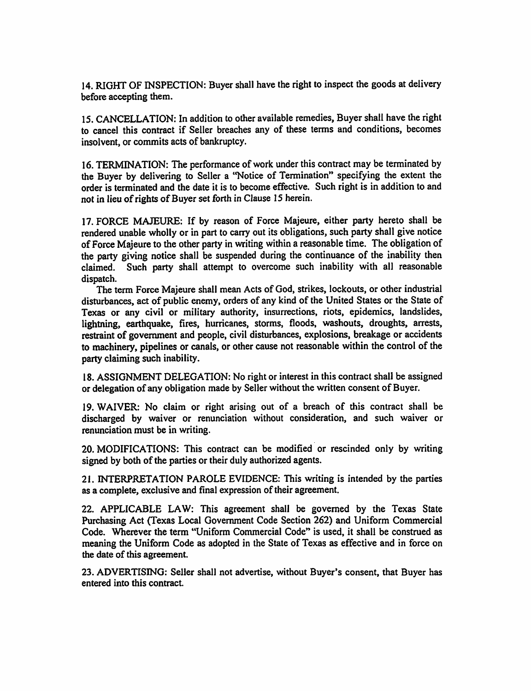14. RIGHT OF INSPECTION: Buyer shall have the right to inspect the goods at delivery before accepting them.

15. CANCELLATION: In addition to other available remedies, Buyer shall have the right to cancel this contract if Seller breaches any of these terms and conditions, becomes insolvent, or commits acts of bankruptcy.

16. TERMINATION: The performance of work under this contract may be terminated by the Buver by delivering to Seller a "Notice of Termination" specifying the extent the order is terminated and the date it is to become effective. Such right is in addition to and not in lieu of rights of Buyer set forth in Clause 15 herein.

17. FORCE MAJEURE: If by reason of Force Majeure, either party hereto shall be rendered unable wholly or in part to carry out its obligations, such party shall give notice of Force Majeure to the other party in writing within a reasonable time. The obligation of the party giving notice shall be suspended during the continuance of the inability then claimed. Such party shall attempt to overcome such inability with all reasonable dispatch.

The term Force Majeure shall mean Acts of God, strikes, lockouts, or other industrial disturbances, act of public enemy, orders of any kind of the United States or the State of Texas or any civil or military authority, insurrections, riots, epidemics, landslides, lightning, earthquake, fires, hurricanes, storms, floods, washouts, droughts, arrests, restraint of government and people, civil disturbances, explosions, breakage or accidents to machinery, pipelines or canals, or other cause not reasonable within the control of the party claiming such inability.

18. ASSIGNMENT DELEGATION: No right or interest in this contract shall be assigned or delegation of any obligation made by Seller without the written consent of Buyer.

19. WAIVER: No claim or right arising out of a breach of this contract shall be discharged by waiver or renunciation without consideration, and such waiver or renunciation must be in writing.

20. MODIFICATIONS: This contract can be modified or rescinded only by writing signed by both of the parties or their duly authorized agents.

21. INTERPRETATION PAROLE EVIDENCE: This writing is intended by the parties as a complete, exclusive and final expression of their agreement.

22. APPLICABLE LAW: This agreement shall be governed by the Texas State Purchasing Act (Texas Local Government Code Section 262) and Uniform Commercial Code. Wherever the term "Uniform Commercial Code" is used, it shall be construed as meaning the Uniform Code as adopted in the State of Texas as effective and in force on the date of this agreement.

23. ADVERTISING: Seller shall not advertise, without Buyer's consent, that Buyer has entered into this contract.